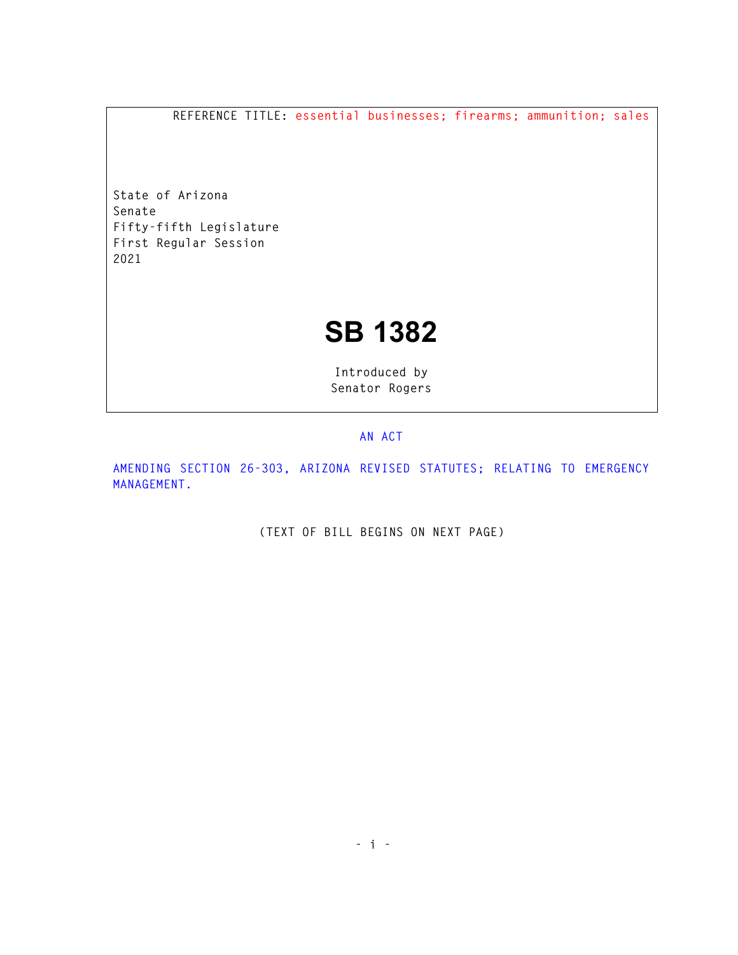**REFERENCE TITLE: essential businesses; firearms; ammunition; sales** 

**State of Arizona Senate Fifty-fifth Legislature First Regular Session 2021** 

## **SB 1382**

**Introduced by Senator Rogers** 

## **AN ACT**

**AMENDING SECTION 26-303, ARIZONA REVISED STATUTES; RELATING TO EMERGENCY MANAGEMENT.** 

**(TEXT OF BILL BEGINS ON NEXT PAGE)**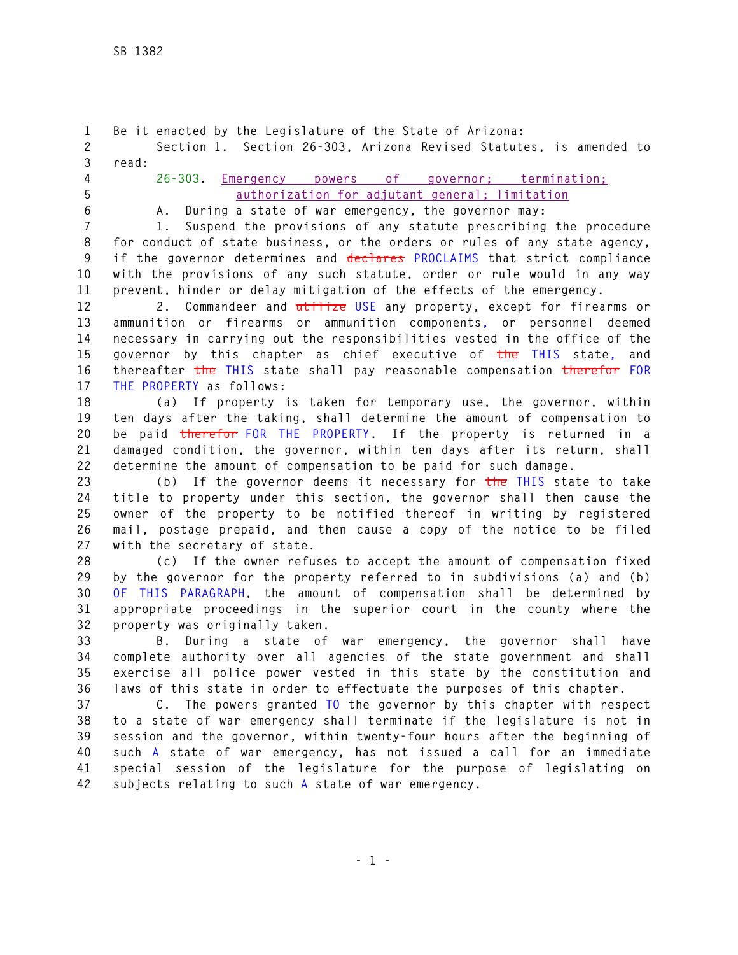**1 Be it enacted by the Legislature of the State of Arizona: 2 Section 1. Section 26-303, Arizona Revised Statutes, is amended to 3 read: 4 26-303. Emergency powers of governor; termination; 5 authorization for adjutant general; limitation 6 A. During a state of war emergency, the governor may: 7 1. Suspend the provisions of any statute prescribing the procedure 8 for conduct of state business, or the orders or rules of any state agency, 9 if the governor determines and declares PROCLAIMS that strict compliance 10 with the provisions of any such statute, order or rule would in any way 11 prevent, hinder or delay mitigation of the effects of the emergency. 12 2. Commandeer and utilize USE any property, except for firearms or 13 ammunition or firearms or ammunition components, or personnel deemed 14 necessary in carrying out the responsibilities vested in the office of the 15 governor by this chapter as chief executive of the THIS state, and 16 thereafter the THIS state shall pay reasonable compensation therefor FOR 17 THE PROPERTY as follows: 18 (a) If property is taken for temporary use, the governor, within 19 ten days after the taking, shall determine the amount of compensation to 20 be paid therefor FOR THE PROPERTY. If the property is returned in a 21 damaged condition, the governor, within ten days after its return, shall 22 determine the amount of compensation to be paid for such damage. 23 (b) If the governor deems it necessary for the THIS state to take 24 title to property under this section, the governor shall then cause the 25 owner of the property to be notified thereof in writing by registered 26 mail, postage prepaid, and then cause a copy of the notice to be filed 27 with the secretary of state. 28 (c) If the owner refuses to accept the amount of compensation fixed 29 by the governor for the property referred to in subdivisions (a) and (b) 30 OF THIS PARAGRAPH, the amount of compensation shall be determined by 31 appropriate proceedings in the superior court in the county where the 32 property was originally taken. 33 B. During a state of war emergency, the governor shall have 34 complete authority over all agencies of the state government and shall 35 exercise all police power vested in this state by the constitution and 36 laws of this state in order to effectuate the purposes of this chapter. 37 C. The powers granted TO the governor by this chapter with respect 38 to a state of war emergency shall terminate if the legislature is not in 39 session and the governor, within twenty-four hours after the beginning of 40 such A state of war emergency, has not issued a call for an immediate 41 special session of the legislature for the purpose of legislating on 42 subjects relating to such A state of war emergency.**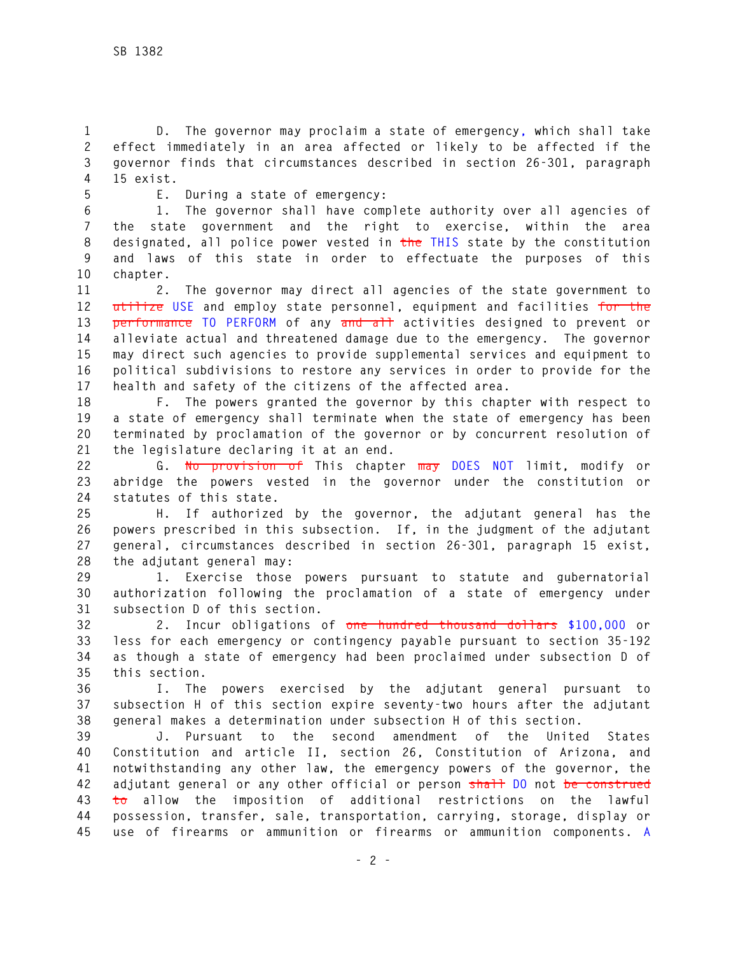**1 D. The governor may proclaim a state of emergency, which shall take 2 effect immediately in an area affected or likely to be affected if the 3 governor finds that circumstances described in section 26-301, paragraph 4 15 exist.** 

**5 E. During a state of emergency:** 

**6 1. The governor shall have complete authority over all agencies of 7 the state government and the right to exercise, within the area 8 designated, all police power vested in the THIS state by the constitution 9 and laws of this state in order to effectuate the purposes of this 10 chapter.** 

**11 2. The governor may direct all agencies of the state government to 12 utilize USE and employ state personnel, equipment and facilities for the 13 performance TO PERFORM of any and all activities designed to prevent or 14 alleviate actual and threatened damage due to the emergency. The governor 15 may direct such agencies to provide supplemental services and equipment to 16 political subdivisions to restore any services in order to provide for the 17 health and safety of the citizens of the affected area.** 

**18 F. The powers granted the governor by this chapter with respect to 19 a state of emergency shall terminate when the state of emergency has been 20 terminated by proclamation of the governor or by concurrent resolution of 21 the legislature declaring it at an end.** 

**22 G. No provision of This chapter may DOES NOT limit, modify or 23 abridge the powers vested in the governor under the constitution or 24 statutes of this state.** 

**25 H. If authorized by the governor, the adjutant general has the 26 powers prescribed in this subsection. If, in the judgment of the adjutant 27 general, circumstances described in section 26-301, paragraph 15 exist, 28 the adjutant general may:** 

**29 1. Exercise those powers pursuant to statute and gubernatorial 30 authorization following the proclamation of a state of emergency under 31 subsection D of this section.** 

**32 2. Incur obligations of one hundred thousand dollars \$100,000 or 33 less for each emergency or contingency payable pursuant to section 35-192 34 as though a state of emergency had been proclaimed under subsection D of 35 this section.** 

**36 I. The powers exercised by the adjutant general pursuant to 37 subsection H of this section expire seventy-two hours after the adjutant 38 general makes a determination under subsection H of this section.** 

**39 J. Pursuant to the second amendment of the United States 40 Constitution and article II, section 26, Constitution of Arizona, and 41 notwithstanding any other law, the emergency powers of the governor, the 42 adjutant general or any other official or person shall DO not be construed 43 to allow the imposition of additional restrictions on the lawful 44 possession, transfer, sale, transportation, carrying, storage, display or 45 use of firearms or ammunition or firearms or ammunition components. A**